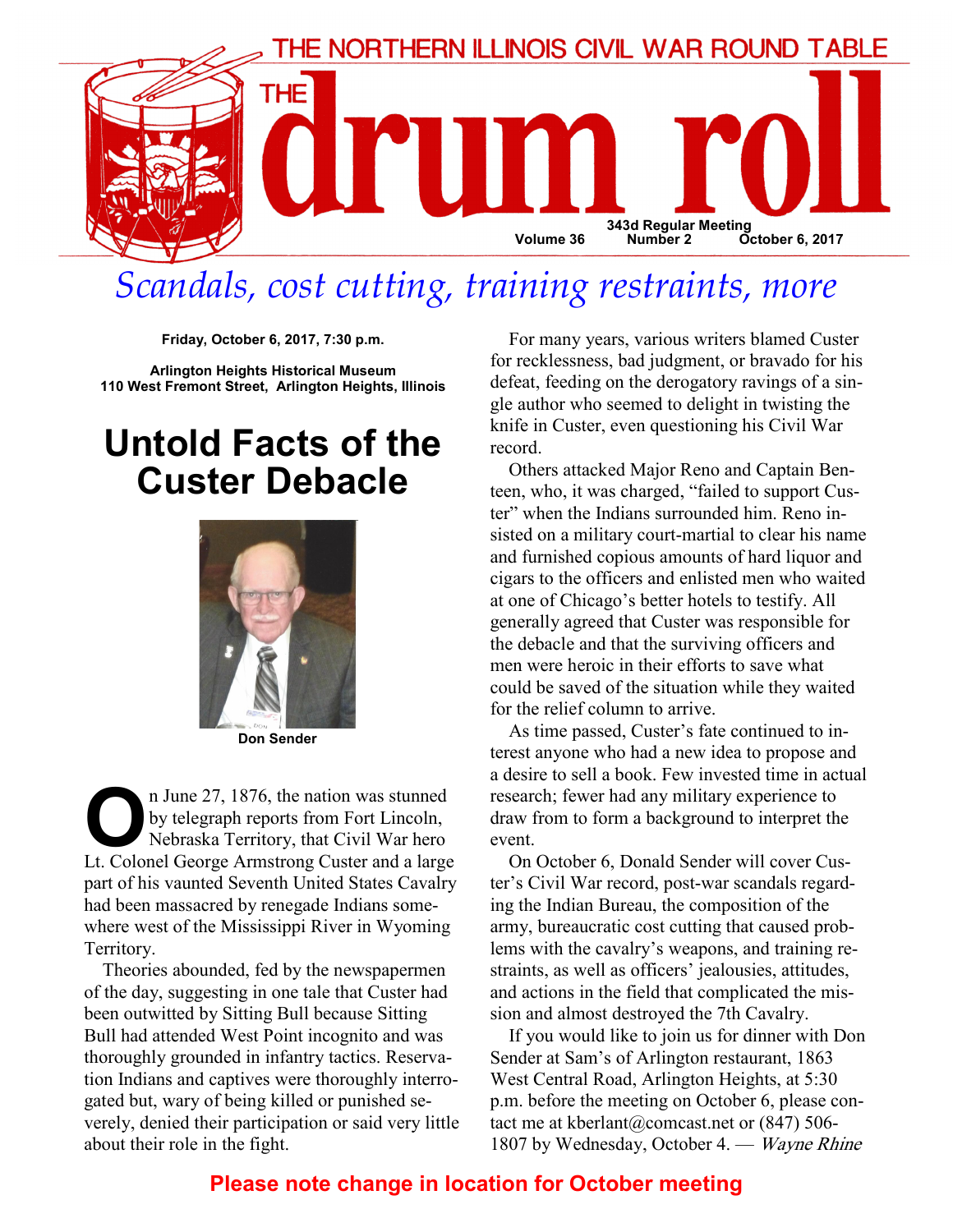

# Scandals, cost cutting, training restraints, more

Friday, October 6, 2017, 7:30 p.m.

Arlington Heights Historical Museum 110 West Fremont Street, Arlington Heights, Illinois

# Untold Facts of the Custer Debacle



The U.S. of the nation was stunned<br>by telegraph reports from Fort Lincoln,<br>Nebraska Territory, that Civil War hero<br>It Colonel George Armstrong Custer and a large by telegraph reports from Fort Lincoln, Nebraska Territory, that Civil War hero Lt. Colonel George Armstrong Custer and a large part of his vaunted Seventh United States Cavalry had been massacred by renegade Indians somewhere west of the Mississippi River in Wyoming Territory.

Theories abounded, fed by the newspapermen of the day, suggesting in one tale that Custer had been outwitted by Sitting Bull because Sitting Bull had attended West Point incognito and was thoroughly grounded in infantry tactics. Reservation Indians and captives were thoroughly interrogated but, wary of being killed or punished severely, denied their participation or said very little about their role in the fight.

For many years, various writers blamed Custer for recklessness, bad judgment, or bravado for his defeat, feeding on the derogatory ravings of a single author who seemed to delight in twisting the knife in Custer, even questioning his Civil War record.

Others attacked Major Reno and Captain Benteen, who, it was charged, "failed to support Custer" when the Indians surrounded him. Reno insisted on a military court-martial to clear his name and furnished copious amounts of hard liquor and cigars to the officers and enlisted men who waited at one of Chicago's better hotels to testify. All generally agreed that Custer was responsible for the debacle and that the surviving officers and men were heroic in their efforts to save what could be saved of the situation while they waited for the relief column to arrive.

As time passed, Custer's fate continued to interest anyone who had a new idea to propose and a desire to sell a book. Few invested time in actual research; fewer had any military experience to draw from to form a background to interpret the event.

On October 6, Donald Sender will cover Custer's Civil War record, post-war scandals regarding the Indian Bureau, the composition of the army, bureaucratic cost cutting that caused problems with the cavalry's weapons, and training restraints, as well as officers' jealousies, attitudes, and actions in the field that complicated the mission and almost destroyed the 7th Cavalry.

If you would like to join us for dinner with Don Sender at Sam's of Arlington restaurant, 1863 West Central Road, Arlington Heights, at 5:30 p.m. before the meeting on October 6, please contact me at kberlant@comcast.net or (847) 506-1807 by Wednesday, October 4. — Wayne Rhine

#### Please note change in location for October meeting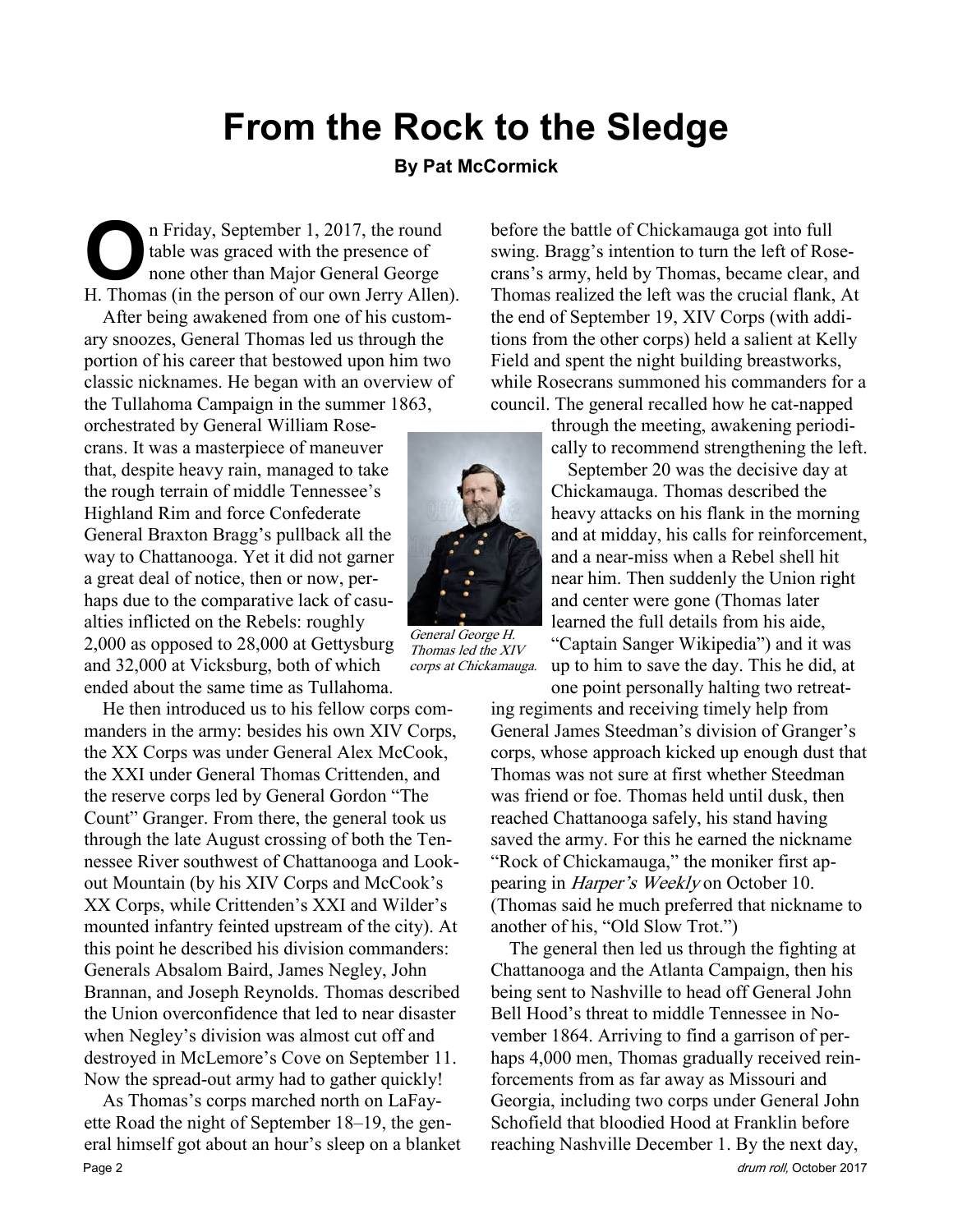# From the Rock to the Sledge

#### By Pat McCormick

In Friday, September 1, 2017, the round<br>table was graced with the presence of<br>none other than Major General George<br>H Thomas (in the person of our own Jerry Allen table was graced with the presence of none other than Major General George H. Thomas (in the person of our own Jerry Allen).

After being awakened from one of his customary snoozes, General Thomas led us through the portion of his career that bestowed upon him two classic nicknames. He began with an overview of the Tullahoma Campaign in the summer 1863,

orchestrated by General William Rosecrans. It was a masterpiece of maneuver that, despite heavy rain, managed to take the rough terrain of middle Tennessee's Highland Rim and force Confederate General Braxton Bragg's pullback all the way to Chattanooga. Yet it did not garner a great deal of notice, then or now, perhaps due to the comparative lack of casualties inflicted on the Rebels: roughly 2,000 as opposed to 28,000 at Gettysburg and 32,000 at Vicksburg, both of which ended about the same time as Tullahoma.

He then introduced us to his fellow corps commanders in the army: besides his own XIV Corps, the XX Corps was under General Alex McCook, the XXI under General Thomas Crittenden, and the reserve corps led by General Gordon "The Count" Granger. From there, the general took us through the late August crossing of both the Tennessee River southwest of Chattanooga and Lookout Mountain (by his XIV Corps and McCook's XX Corps, while Crittenden's XXI and Wilder's mounted infantry feinted upstream of the city). At this point he described his division commanders: Generals Absalom Baird, James Negley, John Brannan, and Joseph Reynolds. Thomas described the Union overconfidence that led to near disaster when Negley's division was almost cut off and destroyed in McLemore's Cove on September 11. Now the spread-out army had to gather quickly!

As Thomas's corps marched north on LaFayette Road the night of September 18–19, the general himself got about an hour's sleep on a blanket Page 2 drum roll, October 2017

before the battle of Chickamauga got into full swing. Bragg's intention to turn the left of Rosecrans's army, held by Thomas, became clear, and Thomas realized the left was the crucial flank, At the end of September 19, XIV Corps (with additions from the other corps) held a salient at Kelly Field and spent the night building breastworks, while Rosecrans summoned his commanders for a council. The general recalled how he cat-napped

through the meeting, awakening periodically to recommend strengthening the left.

 September 20 was the decisive day at Chickamauga. Thomas described the heavy attacks on his flank in the morning and at midday, his calls for reinforcement, and a near-miss when a Rebel shell hit near him. Then suddenly the Union right and center were gone (Thomas later learned the full details from his aide, "Captain Sanger Wikipedia") and it was

up to him to save the day. This he did, at one point personally halting two retreat-

ing regiments and receiving timely help from General James Steedman's division of Granger's corps, whose approach kicked up enough dust that Thomas was not sure at first whether Steedman was friend or foe. Thomas held until dusk, then reached Chattanooga safely, his stand having saved the army. For this he earned the nickname "Rock of Chickamauga," the moniker first appearing in Harper's Weekly on October 10. (Thomas said he much preferred that nickname to another of his, "Old Slow Trot.")

The general then led us through the fighting at Chattanooga and the Atlanta Campaign, then his being sent to Nashville to head off General John Bell Hood's threat to middle Tennessee in November 1864. Arriving to find a garrison of perhaps 4,000 men, Thomas gradually received reinforcements from as far away as Missouri and Georgia, including two corps under General John Schofield that bloodied Hood at Franklin before reaching Nashville December 1. By the next day,



General George H. Thomas led the XIV corps at Chickamauga.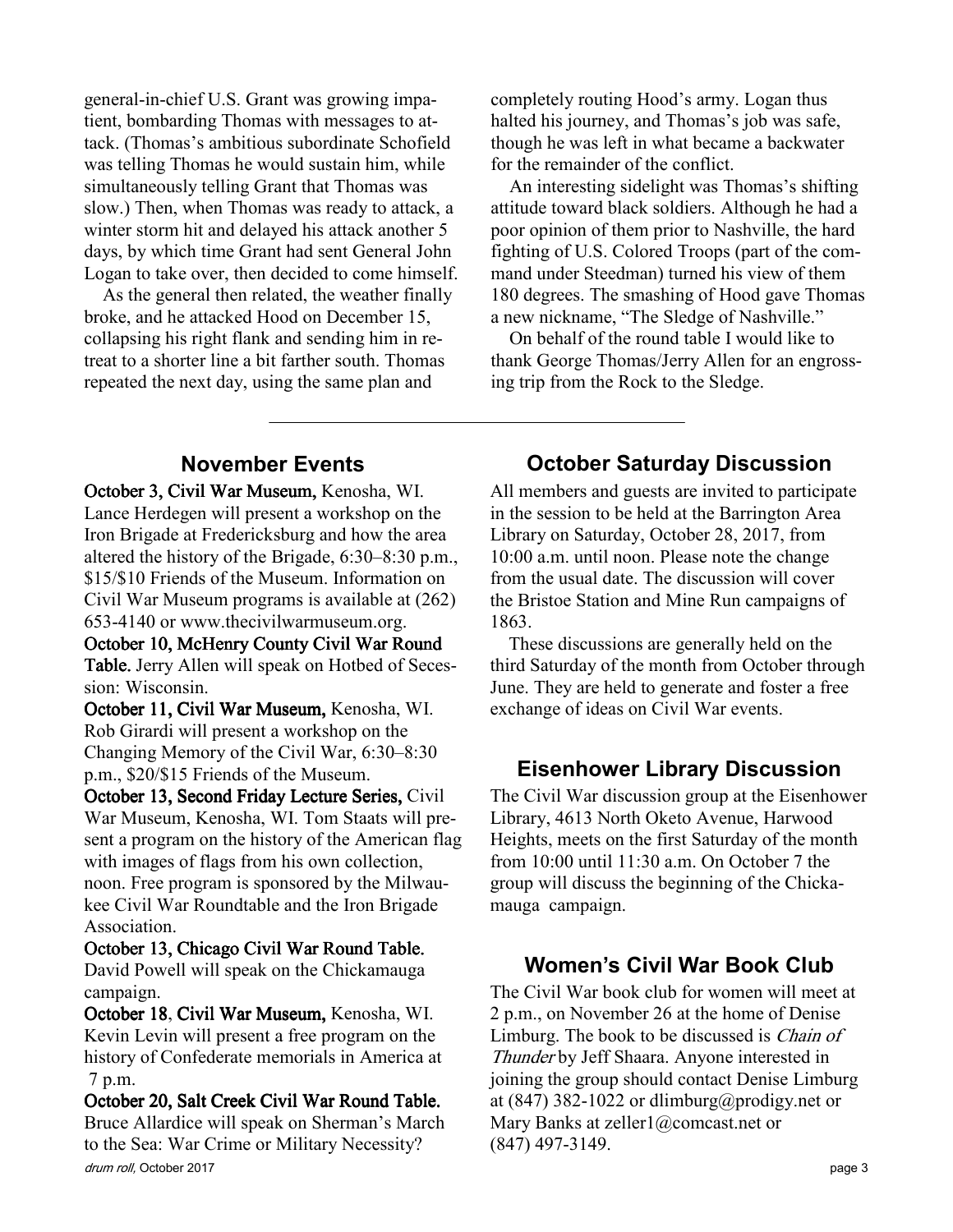general-in-chief U.S. Grant was growing impatient, bombarding Thomas with messages to attack. (Thomas's ambitious subordinate Schofield was telling Thomas he would sustain him, while simultaneously telling Grant that Thomas was slow.) Then, when Thomas was ready to attack, a winter storm hit and delayed his attack another 5 days, by which time Grant had sent General John Logan to take over, then decided to come himself.

As the general then related, the weather finally broke, and he attacked Hood on December 15, collapsing his right flank and sending him in retreat to a shorter line a bit farther south. Thomas repeated the next day, using the same plan and

completely routing Hood's army. Logan thus halted his journey, and Thomas's job was safe, though he was left in what became a backwater for the remainder of the conflict.

An interesting sidelight was Thomas's shifting attitude toward black soldiers. Although he had a poor opinion of them prior to Nashville, the hard fighting of U.S. Colored Troops (part of the command under Steedman) turned his view of them 180 degrees. The smashing of Hood gave Thomas a new nickname, "The Sledge of Nashville."

On behalf of the round table I would like to thank George Thomas/Jerry Allen for an engrossing trip from the Rock to the Sledge.

#### November Events

October 3, Civil War Museum, Kenosha, WI. Lance Herdegen will present a workshop on the Iron Brigade at Fredericksburg and how the area altered the history of the Brigade, 6:30–8:30 p.m., \$15/\$10 Friends of the Museum. Information on Civil War Museum programs is available at (262) 653-4140 or www.thecivilwarmuseum.org.

October 10, McHenry County Civil War Round Table. Jerry Allen will speak on Hotbed of Secession: Wisconsin.

October 11, Civil War Museum, Kenosha, WI. Rob Girardi will present a workshop on the Changing Memory of the Civil War, 6:30–8:30 p.m., \$20/\$15 Friends of the Museum.

October 13, Second Friday Lecture Series, Civil War Museum, Kenosha, WI. Tom Staats will present a program on the history of the American flag with images of flags from his own collection, noon. Free program is sponsored by the Milwaukee Civil War Roundtable and the Iron Brigade Association.

October 13, Chicago Civil War Round Table. David Powell will speak on the Chickamauga campaign.

October 18, Civil War Museum, Kenosha, WI. Kevin Levin will present a free program on the history of Confederate memorials in America at 7 p.m.

drum roll, October 2017 **page 3** October 20, Salt Creek Civil War Round Table. Bruce Allardice will speak on Sherman's March to the Sea: War Crime or Military Necessity?

#### October Saturday Discussion

All members and guests are invited to participate in the session to be held at the Barrington Area Library on Saturday, October 28, 2017, from 10:00 a.m. until noon. Please note the change from the usual date. The discussion will cover the Bristoe Station and Mine Run campaigns of 1863.

These discussions are generally held on the third Saturday of the month from October through June. They are held to generate and foster a free exchange of ideas on Civil War events.

#### Eisenhower Library Discussion

The Civil War discussion group at the Eisenhower Library, 4613 North Oketo Avenue, Harwood Heights, meets on the first Saturday of the month from 10:00 until 11:30 a.m. On October 7 the group will discuss the beginning of the Chickamauga campaign.

#### Women's Civil War Book Club

The Civil War book club for women will meet at 2 p.m., on November 26 at the home of Denise Limburg. The book to be discussed is *Chain of* Thunder by Jeff Shaara. Anyone interested in joining the group should contact Denise Limburg at (847) 382-1022 or dlimburg@prodigy.net or Mary Banks at zeller1@comcast.net or (847) 497-3149.